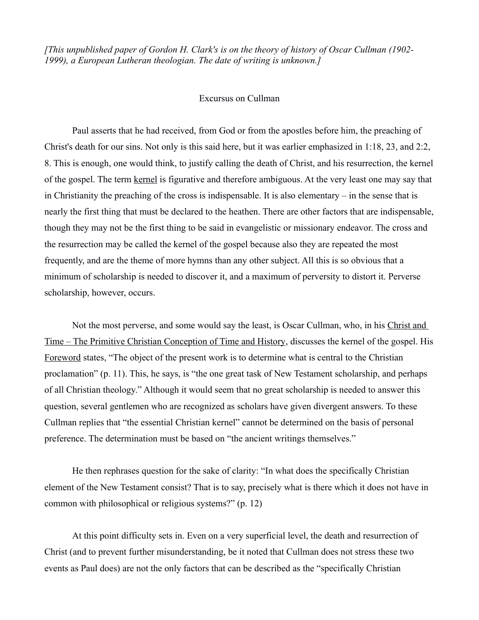*[This unpublished paper of Gordon H. Clark's is on the theory of history of Oscar Cullman (1902- 1999), a European Lutheran theologian. The date of writing is unknown.]*

## Excursus on Cullman

Paul asserts that he had received, from God or from the apostles before him, the preaching of Christ's death for our sins. Not only is this said here, but it was earlier emphasized in 1:18, 23, and 2:2, 8. This is enough, one would think, to justify calling the death of Christ, and his resurrection, the kernel of the gospel. The term kernel is figurative and therefore ambiguous. At the very least one may say that in Christianity the preaching of the cross is indispensable. It is also elementary – in the sense that is nearly the first thing that must be declared to the heathen. There are other factors that are indispensable, though they may not be the first thing to be said in evangelistic or missionary endeavor. The cross and the resurrection may be called the kernel of the gospel because also they are repeated the most frequently, and are the theme of more hymns than any other subject. All this is so obvious that a minimum of scholarship is needed to discover it, and a maximum of perversity to distort it. Perverse scholarship, however, occurs.

Not the most perverse, and some would say the least, is Oscar Cullman, who, in his Christ and Time – The Primitive Christian Conception of Time and History, discusses the kernel of the gospel. His Foreword states, "The object of the present work is to determine what is central to the Christian proclamation" (p. 11). This, he says, is "the one great task of New Testament scholarship, and perhaps of all Christian theology." Although it would seem that no great scholarship is needed to answer this question, several gentlemen who are recognized as scholars have given divergent answers. To these Cullman replies that "the essential Christian kernel" cannot be determined on the basis of personal preference. The determination must be based on "the ancient writings themselves."

He then rephrases question for the sake of clarity: "In what does the specifically Christian element of the New Testament consist? That is to say, precisely what is there which it does not have in common with philosophical or religious systems?" (p. 12)

At this point difficulty sets in. Even on a very superficial level, the death and resurrection of Christ (and to prevent further misunderstanding, be it noted that Cullman does not stress these two events as Paul does) are not the only factors that can be described as the "specifically Christian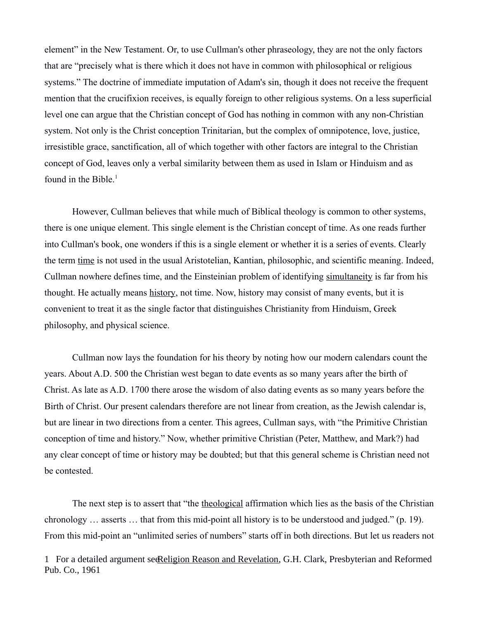element" in the New Testament. Or, to use Cullman's other phraseology, they are not the only factors that are "precisely what is there which it does not have in common with philosophical or religious systems." The doctrine of immediate imputation of Adam's sin, though it does not receive the frequent mention that the crucifixion receives, is equally foreign to other religious systems. On a less superficial level one can argue that the Christian concept of God has nothing in common with any non-Christian system. Not only is the Christ conception Trinitarian, but the complex of omnipotence, love, justice, irresistible grace, sanctification, all of which together with other factors are integral to the Christian concept of God, leaves only a verbal similarity between them as used in Islam or Hinduism and as found in the Bible. $<sup>1</sup>$  $<sup>1</sup>$  $<sup>1</sup>$ </sup>

However, Cullman believes that while much of Biblical theology is common to other systems, there is one unique element. This single element is the Christian concept of time. As one reads further into Cullman's book, one wonders if this is a single element or whether it is a series of events. Clearly the term time is not used in the usual Aristotelian, Kantian, philosophic, and scientific meaning. Indeed, Cullman nowhere defines time, and the Einsteinian problem of identifying simultaneity is far from his thought. He actually means history, not time. Now, history may consist of many events, but it is convenient to treat it as the single factor that distinguishes Christianity from Hinduism, Greek philosophy, and physical science.

Cullman now lays the foundation for his theory by noting how our modern calendars count the years. About A.D. 500 the Christian west began to date events as so many years after the birth of Christ. As late as A.D. 1700 there arose the wisdom of also dating events as so many years before the Birth of Christ. Our present calendars therefore are not linear from creation, as the Jewish calendar is, but are linear in two directions from a center. This agrees, Cullman says, with "the Primitive Christian conception of time and history." Now, whether primitive Christian (Peter, Matthew, and Mark?) had any clear concept of time or history may be doubted; but that this general scheme is Christian need not be contested.

The next step is to assert that "the theological affirmation which lies as the basis of the Christian chronology … asserts … that from this mid-point all history is to be understood and judged." (p. 19). From this mid-point an "unlimited series of numbers" starts off in both directions. But let us readers not

<span id="page-1-0"></span>1 For a detailed argument secoligion Reason and Revelation, G.H. Clark, Presbyterian and Reformed Pub. Co., 1961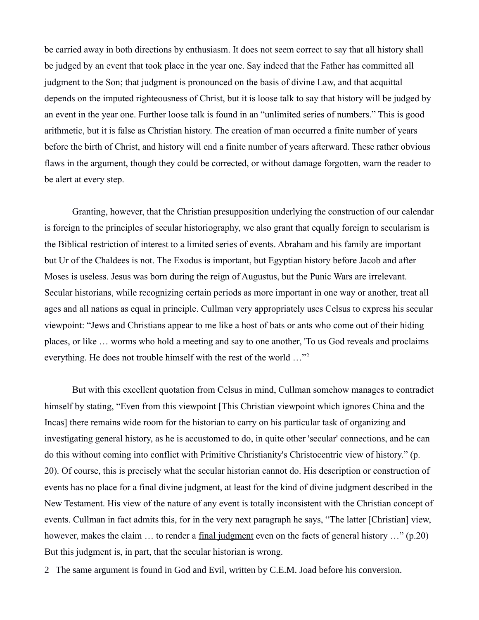be carried away in both directions by enthusiasm. It does not seem correct to say that all history shall be judged by an event that took place in the year one. Say indeed that the Father has committed all judgment to the Son; that judgment is pronounced on the basis of divine Law, and that acquittal depends on the imputed righteousness of Christ, but it is loose talk to say that history will be judged by an event in the year one. Further loose talk is found in an "unlimited series of numbers." This is good arithmetic, but it is false as Christian history. The creation of man occurred a finite number of years before the birth of Christ, and history will end a finite number of years afterward. These rather obvious flaws in the argument, though they could be corrected, or without damage forgotten, warn the reader to be alert at every step.

Granting, however, that the Christian presupposition underlying the construction of our calendar is foreign to the principles of secular historiography, we also grant that equally foreign to secularism is the Biblical restriction of interest to a limited series of events. Abraham and his family are important but Ur of the Chaldees is not. The Exodus is important, but Egyptian history before Jacob and after Moses is useless. Jesus was born during the reign of Augustus, but the Punic Wars are irrelevant. Secular historians, while recognizing certain periods as more important in one way or another, treat all ages and all nations as equal in principle. Cullman very appropriately uses Celsus to express his secular viewpoint: "Jews and Christians appear to me like a host of bats or ants who come out of their hiding places, or like … worms who hold a meeting and say to one another, 'To us God reveals and proclaims everything. He does not trouble himself with the rest of the world …"[2](#page-2-0)

But with this excellent quotation from Celsus in mind, Cullman somehow manages to contradict himself by stating, "Even from this viewpoint [This Christian viewpoint which ignores China and the Incas] there remains wide room for the historian to carry on his particular task of organizing and investigating general history, as he is accustomed to do, in quite other 'secular' connections, and he can do this without coming into conflict with Primitive Christianity's Christocentric view of history." (p. 20). Of course, this is precisely what the secular historian cannot do. His description or construction of events has no place for a final divine judgment, at least for the kind of divine judgment described in the New Testament. His view of the nature of any event is totally inconsistent with the Christian concept of events. Cullman in fact admits this, for in the very next paragraph he says, "The latter [Christian] view, however, makes the claim ... to render a <u>final judgment</u> even on the facts of general history ..." (p.20) But this judgment is, in part, that the secular historian is wrong.

<span id="page-2-0"></span>2- The same argument is found in God and Evil, written by C.E.M. Joad before his conversion.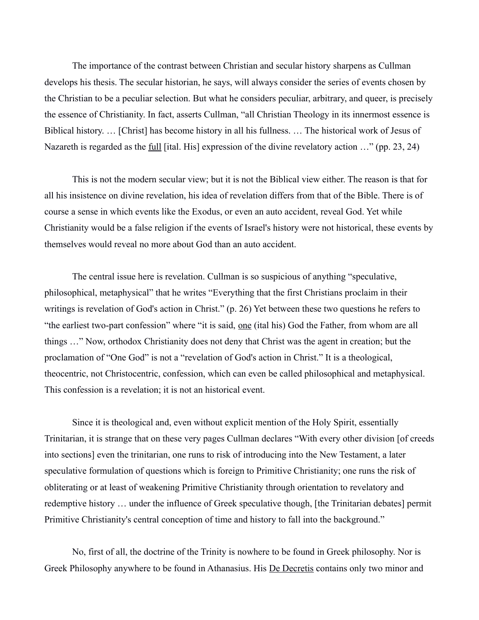The importance of the contrast between Christian and secular history sharpens as Cullman develops his thesis. The secular historian, he says, will always consider the series of events chosen by the Christian to be a peculiar selection. But what he considers peculiar, arbitrary, and queer, is precisely the essence of Christianity. In fact, asserts Cullman, "all Christian Theology in its innermost essence is Biblical history. … [Christ] has become history in all his fullness. … The historical work of Jesus of Nazareth is regarded as the full [ital. His] expression of the divine revelatory action …" (pp. 23, 24)

This is not the modern secular view; but it is not the Biblical view either. The reason is that for all his insistence on divine revelation, his idea of revelation differs from that of the Bible. There is of course a sense in which events like the Exodus, or even an auto accident, reveal God. Yet while Christianity would be a false religion if the events of Israel's history were not historical, these events by themselves would reveal no more about God than an auto accident.

The central issue here is revelation. Cullman is so suspicious of anything "speculative, philosophical, metaphysical" that he writes "Everything that the first Christians proclaim in their writings is revelation of God's action in Christ." (p. 26) Yet between these two questions he refers to "the earliest two-part confession" where "it is said, <u>one</u> (ital his) God the Father, from whom are all things …" Now, orthodox Christianity does not deny that Christ was the agent in creation; but the proclamation of "One God" is not a "revelation of God's action in Christ." It is a theological, theocentric, not Christocentric, confession, which can even be called philosophical and metaphysical. This confession is a revelation; it is not an historical event.

Since it is theological and, even without explicit mention of the Holy Spirit, essentially Trinitarian, it is strange that on these very pages Cullman declares "With every other division [of creeds into sections] even the trinitarian, one runs to risk of introducing into the New Testament, a later speculative formulation of questions which is foreign to Primitive Christianity; one runs the risk of obliterating or at least of weakening Primitive Christianity through orientation to revelatory and redemptive history … under the influence of Greek speculative though, [the Trinitarian debates] permit Primitive Christianity's central conception of time and history to fall into the background."

No, first of all, the doctrine of the Trinity is nowhere to be found in Greek philosophy. Nor is Greek Philosophy anywhere to be found in Athanasius. His De Decretis contains only two minor and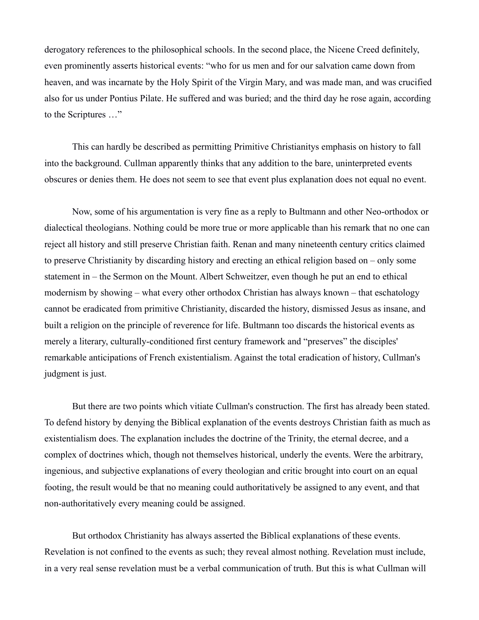derogatory references to the philosophical schools. In the second place, the Nicene Creed definitely, even prominently asserts historical events: "who for us men and for our salvation came down from heaven, and was incarnate by the Holy Spirit of the Virgin Mary, and was made man, and was crucified also for us under Pontius Pilate. He suffered and was buried; and the third day he rose again, according to the Scriptures …"

This can hardly be described as permitting Primitive Christianitys emphasis on history to fall into the background. Cullman apparently thinks that any addition to the bare, uninterpreted events obscures or denies them. He does not seem to see that event plus explanation does not equal no event.

Now, some of his argumentation is very fine as a reply to Bultmann and other Neo-orthodox or dialectical theologians. Nothing could be more true or more applicable than his remark that no one can reject all history and still preserve Christian faith. Renan and many nineteenth century critics claimed to preserve Christianity by discarding history and erecting an ethical religion based on – only some statement in – the Sermon on the Mount. Albert Schweitzer, even though he put an end to ethical modernism by showing – what every other orthodox Christian has always known – that eschatology cannot be eradicated from primitive Christianity, discarded the history, dismissed Jesus as insane, and built a religion on the principle of reverence for life. Bultmann too discards the historical events as merely a literary, culturally-conditioned first century framework and "preserves" the disciples' remarkable anticipations of French existentialism. Against the total eradication of history, Cullman's judgment is just.

But there are two points which vitiate Cullman's construction. The first has already been stated. To defend history by denying the Biblical explanation of the events destroys Christian faith as much as existentialism does. The explanation includes the doctrine of the Trinity, the eternal decree, and a complex of doctrines which, though not themselves historical, underly the events. Were the arbitrary, ingenious, and subjective explanations of every theologian and critic brought into court on an equal footing, the result would be that no meaning could authoritatively be assigned to any event, and that non-authoritatively every meaning could be assigned.

But orthodox Christianity has always asserted the Biblical explanations of these events. Revelation is not confined to the events as such; they reveal almost nothing. Revelation must include, in a very real sense revelation must be a verbal communication of truth. But this is what Cullman will